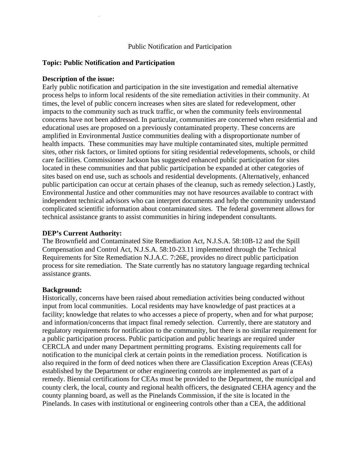# **Topic: Public Notification and Participation**

## **Description of the issue:**

Early public notification and participation in the site investigation and remedial alternative process helps to inform local residents of the site remediation activities in their community. At times, the level of public concern increases when sites are slated for redevelopment, other impacts to the community such as truck traffic, or when the community feels environmental concerns have not been addressed. In particular, communities are concerned when residential and educational uses are proposed on a previously contaminated property. These concerns are amplified in Environmental Justice communities dealing with a disproportionate number of health impacts. These communities may have multiple contaminated sites, multiple permitted sites, other risk factors, or limited options for siting residential redevelopments, schools, or child care facilities. Commissioner Jackson has suggested enhanced public participation for sites located in these communities and that public participation be expanded at other categories of sites based on end use, such as schools and residential developments. (Alternatively, enhanced public participation can occur at certain phases of the cleanup, such as remedy selection.) Lastly, Environmental Justice and other communities may not have resources available to contract with independent technical advisors who can interpret documents and help the community understand complicated scientific information about contaminated sites. The federal government allows for technical assistance grants to assist communities in hiring independent consultants.

# **DEP's Current Authority:**

The Brownfield and Contaminated Site Remediation Act, N.J.S.A. 58:10B-12 and the Spill Compensation and Control Act, N.J.S.A. 58:10-23.11 implemented through the Technical Requirements for Site Remediation N.J.A.C. 7:26E, provides no direct public participation process for site remediation. The State currently has no statutory language regarding technical assistance grants.

### **Background:**

Historically, concerns have been raised about remediation activities being conducted without input from local communities. Local residents may have knowledge of past practices at a facility; knowledge that relates to who accesses a piece of property, when and for what purpose; and information/concerns that impact final remedy selection. Currently, there are statutory and regulatory requirements for notification to the community, but there is no similar requirement for a public participation process. Public participation and public hearings are required under CERCLA and under many Department permitting programs. Existing requirements call for notification to the municipal clerk at certain points in the remediation process. Notification is also required in the form of deed notices when there are Classification Exception Areas (CEAs) established by the Department or other engineering controls are implemented as part of a remedy. Biennial certifications for CEAs must be provided to the Department, the municipal and county clerk, the local, county and regional health officers, the designated CEHA agency and the county planning board, as well as the Pinelands Commission, if the site is located in the Pinelands. In cases with institutional or engineering controls other than a CEA, the additional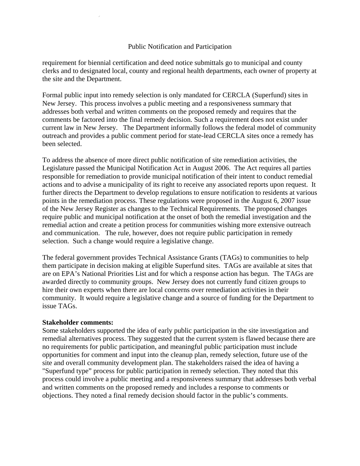requirement for biennial certification and deed notice submittals go to municipal and county clerks and to designated local, county and regional health departments, each owner of property at the site and the Department.

Formal public input into remedy selection is only mandated for CERCLA (Superfund) sites in New Jersey. This process involves a public meeting and a responsiveness summary that addresses both verbal and written comments on the proposed remedy and requires that the comments be factored into the final remedy decision. Such a requirement does not exist under current law in New Jersey. The Department informally follows the federal model of community outreach and provides a public comment period for state-lead CERCLA sites once a remedy has been selected.

To address the absence of more direct public notification of site remediation activities, the Legislature passed the Municipal Notification Act in August 2006. The Act requires all parties responsible for remediation to provide municipal notification of their intent to conduct remedial actions and to advise a municipality of its right to receive any associated reports upon request. It further directs the Department to develop regulations to ensure notification to residents at various points in the remediation process. These regulations were proposed in the August 6, 2007 issue of the New Jersey Register as changes to the Technical Requirements. The proposed changes require public and municipal notification at the onset of both the remedial investigation and the remedial action and create a petition process for communities wishing more extensive outreach and communication. The rule, however, does not require public participation in remedy selection. Such a change would require a legislative change.

The federal government provides Technical Assistance Grants (TAGs) to communities to help them participate in decision making at eligible Superfund sites. TAGs are available at sites that are on EPA's National Priorities List and for which a response action has begun. The TAGs are awarded directly to community groups. New Jersey does not currently fund citizen groups to hire their own experts when there are local concerns over remediation activities in their community. It would require a legislative change and a source of funding for the Department to issue TAGs.

### **Stakeholder comments:**

Some stakeholders supported the idea of early public participation in the site investigation and remedial alternatives process. They suggested that the current system is flawed because there are no requirements for public participation, and meaningful public participation must include opportunities for comment and input into the cleanup plan, remedy selection, future use of the site and overall community development plan. The stakeholders raised the idea of having a "Superfund type" process for public participation in remedy selection. They noted that this process could involve a public meeting and a responsiveness summary that addresses both verbal and written comments on the proposed remedy and includes a response to comments or objections. They noted a final remedy decision should factor in the public's comments.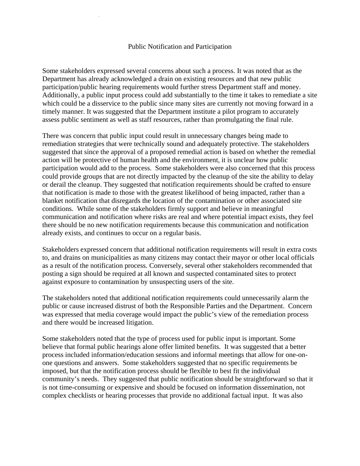Some stakeholders expressed several concerns about such a process. It was noted that as the Department has already acknowledged a drain on existing resources and that new public participation/public hearing requirements would further stress Department staff and money. Additionally, a public input process could add substantially to the time it takes to remediate a site which could be a disservice to the public since many sites are currently not moving forward in a timely manner. It was suggested that the Department institute a pilot program to accurately assess public sentiment as well as staff resources, rather than promulgating the final rule.

There was concern that public input could result in unnecessary changes being made to remediation strategies that were technically sound and adequately protective. The stakeholders suggested that since the approval of a proposed remedial action is based on whether the remedial action will be protective of human health and the environment, it is unclear how public participation would add to the process. Some stakeholders were also concerned that this process could provide groups that are not directly impacted by the cleanup of the site the ability to delay or derail the cleanup. They suggested that notification requirements should be crafted to ensure that notification is made to those with the greatest likelihood of being impacted, rather than a blanket notification that disregards the location of the contamination or other associated site conditions. While some of the stakeholders firmly support and believe in meaningful communication and notification where risks are real and where potential impact exists, they feel there should be no new notification requirements because this communication and notification already exists, and continues to occur on a regular basis.

Stakeholders expressed concern that additional notification requirements will result in extra costs to, and drains on municipalities as many citizens may contact their mayor or other local officials as a result of the notification process. Conversely, several other stakeholders recommended that posting a sign should be required at all known and suspected contaminated sites to protect against exposure to contamination by unsuspecting users of the site.

The stakeholders noted that additional notification requirements could unnecessarily alarm the public or cause increased distrust of both the Responsible Parties and the Department. Concern was expressed that media coverage would impact the public's view of the remediation process and there would be increased litigation.

Some stakeholders noted that the type of process used for public input is important. Some believe that formal public hearings alone offer limited benefits. It was suggested that a better process included information/education sessions and informal meetings that allow for one-onone questions and answers. Some stakeholders suggested that no specific requirements be imposed, but that the notification process should be flexible to best fit the individual community's needs. They suggested that public notification should be straightforward so that it is not time-consuming or expensive and should be focused on information dissemination, not complex checklists or hearing processes that provide no additional factual input. It was also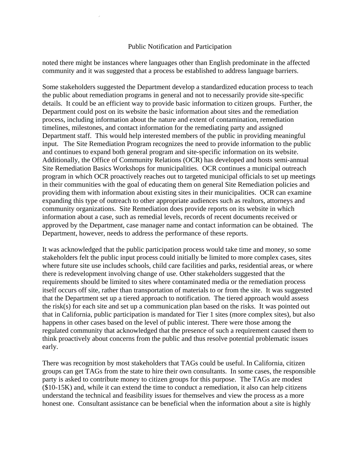noted there might be instances where languages other than English predominate in the affected community and it was suggested that a process be established to address language barriers.

Some stakeholders suggested the Department develop a standardized education process to teach the public about remediation programs in general and not to necessarily provide site-specific details. It could be an efficient way to provide basic information to citizen groups. Further, the Department could post on its website the basic information about sites and the remediation process, including information about the nature and extent of contamination, remediation timelines, milestones, and contact information for the remediating party and assigned Department staff. This would help interested members of the public in providing meaningful input. The Site Remediation Program recognizes the need to provide information to the public and continues to expand both general program and site-specific information on its website. Additionally, the Office of Community Relations (OCR) has developed and hosts semi-annual Site Remediation Basics Workshops for municipalities. OCR continues a municipal outreach program in which OCR proactively reaches out to targeted municipal officials to set up meetings in their communities with the goal of educating them on general Site Remediation policies and providing them with information about existing sites in their municipalities. OCR can examine expanding this type of outreach to other appropriate audiences such as realtors, attorneys and community organizations. Site Remediation does provide reports on its website in which information about a case, such as remedial levels, records of recent documents received or approved by the Department, case manager name and contact information can be obtained. The Department, however, needs to address the performance of these reports.

It was acknowledged that the public participation process would take time and money, so some stakeholders felt the public input process could initially be limited to more complex cases, sites where future site use includes schools, child care facilities and parks, residential areas, or where there is redevelopment involving change of use. Other stakeholders suggested that the requirements should be limited to sites where contaminated media or the remediation process itself occurs off site, rather than transportation of materials to or from the site. It was suggested that the Department set up a tiered approach to notification. The tiered approach would assess the risk(s) for each site and set up a communication plan based on the risks. It was pointed out that in California, public participation is mandated for Tier 1 sites (more complex sites), but also happens in other cases based on the level of public interest. There were those among the regulated community that acknowledged that the presence of such a requirement caused them to think proactively about concerns from the public and thus resolve potential problematic issues early.

There was recognition by most stakeholders that TAGs could be useful. In California, citizen groups can get TAGs from the state to hire their own consultants. In some cases, the responsible party is asked to contribute money to citizen groups for this purpose. The TAGs are modest (\$10-15K) and, while it can extend the time to conduct a remediation, it also can help citizens understand the technical and feasibility issues for themselves and view the process as a more honest one. Consultant assistance can be beneficial when the information about a site is highly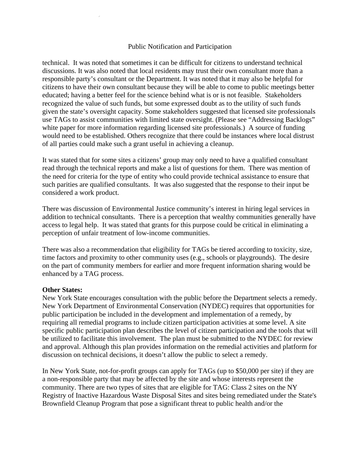technical. It was noted that sometimes it can be difficult for citizens to understand technical discussions. It was also noted that local residents may trust their own consultant more than a responsible party's consultant or the Department. It was noted that it may also be helpful for citizens to have their own consultant because they will be able to come to public meetings better educated; having a better feel for the science behind what is or is not feasible. Stakeholders recognized the value of such funds, but some expressed doubt as to the utility of such funds given the state's oversight capacity. Some stakeholders suggested that licensed site professionals use TAGs to assist communities with limited state oversight. (Please see "Addressing Backlogs" white paper for more information regarding licensed site professionals.) A source of funding would need to be established. Others recognize that there could be instances where local distrust of all parties could make such a grant useful in achieving a cleanup.

It was stated that for some sites a citizens' group may only need to have a qualified consultant read through the technical reports and make a list of questions for them. There was mention of the need for criteria for the type of entity who could provide technical assistance to ensure that such parities are qualified consultants. It was also suggested that the response to their input be considered a work product.

There was discussion of Environmental Justice community's interest in hiring legal services in addition to technical consultants. There is a perception that wealthy communities generally have access to legal help. It was stated that grants for this purpose could be critical in eliminating a perception of unfair treatment of low-income communities.

There was also a recommendation that eligibility for TAGs be tiered according to toxicity, size, time factors and proximity to other community uses (e.g., schools or playgrounds). The desire on the part of community members for earlier and more frequent information sharing would be enhanced by a TAG process.

### **Other States:**

New York State encourages consultation with the public before the Department selects a remedy. New York Department of Environmental Conservation (NYDEC) requires that opportunities for public participation be included in the development and implementation of a remedy, by requiring all remedial programs to include citizen participation activities at some level. A site specific public participation plan describes the level of citizen participation and the tools that will be utilized to facilitate this involvement. The plan must be submitted to the NYDEC for review and approval. Although this plan provides information on the remedial activities and platform for discussion on technical decisions, it doesn't allow the public to select a remedy.

In New York State, not-for-profit groups can apply for TAGs (up to \$50,000 per site) if they are a non-responsible party that may be affected by the site and whose interests represent the community. There are two types of sites that are eligible for TAG: Class 2 sites on the NY Registry of Inactive Hazardous Waste Disposal Sites and sites being remediated under the State's Brownfield Cleanup Program that pose a significant threat to public health and/or the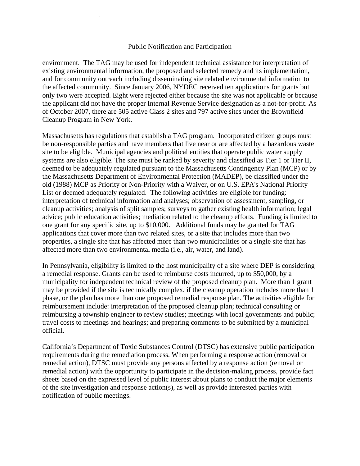environment. The TAG may be used for independent technical assistance for interpretation of existing environmental information, the proposed and selected remedy and its implementation, and for community outreach including disseminating site related environmental information to the affected community. Since January 2006, NYDEC received ten applications for grants but only two were accepted. Eight were rejected either because the site was not applicable or because the applicant did not have the proper Internal Revenue Service designation as a not-for-profit. As of October 2007, there are 505 active Class 2 sites and 797 active sites under the Brownfield Cleanup Program in New York.

Massachusetts has regulations that establish a TAG program. Incorporated citizen groups must be non-responsible parties and have members that live near or are affected by a hazardous waste site to be eligible. Municipal agencies and political entities that operate public water supply systems are also eligible. The site must be ranked by severity and classified as Tier 1 or Tier II, deemed to be adequately regulated pursuant to the Massachusetts Contingency Plan (MCP) or by the Massachusetts Department of Environmental Protection (MADEP), be classified under the old (1988) MCP as Priority or Non-Priority with a Waiver, or on U.S. EPA's National Priority List or deemed adequately regulated. The following activities are eligible for funding: interpretation of technical information and analyses; observation of assessment, sampling, or cleanup activities; analysis of split samples; surveys to gather existing health information; legal advice; public education activities; mediation related to the cleanup efforts. Funding is limited to one grant for any specific site, up to \$10,000. Additional funds may be granted for TAG applications that cover more than two related sites, or a site that includes more than two properties, a single site that has affected more than two municipalities or a single site that has affected more than two environmental media (i.e., air, water, and land).

In Pennsylvania, eligibility is limited to the host municipality of a site where DEP is considering a remedial response. Grants can be used to reimburse costs incurred, up to \$50,000, by a municipality for independent technical review of the proposed cleanup plan. More than 1 grant may be provided if the site is technically complex, if the cleanup operation includes more than 1 phase, or the plan has more than one proposed remedial response plan. The activities eligible for reimbursement include: interpretation of the proposed cleanup plan; technical consulting or reimbursing a township engineer to review studies; meetings with local governments and public; travel costs to meetings and hearings; and preparing comments to be submitted by a municipal official.

California's Department of Toxic Substances Control (DTSC) has extensive public participation requirements during the remediation process. When performing a response action (removal or remedial action), DTSC must provide any persons affected by a response action (removal or remedial action) with the opportunity to participate in the decision-making process, provide fact sheets based on the expressed level of public interest about plans to conduct the major elements of the site investigation and response action(s), as well as provide interested parties with notification of public meetings.